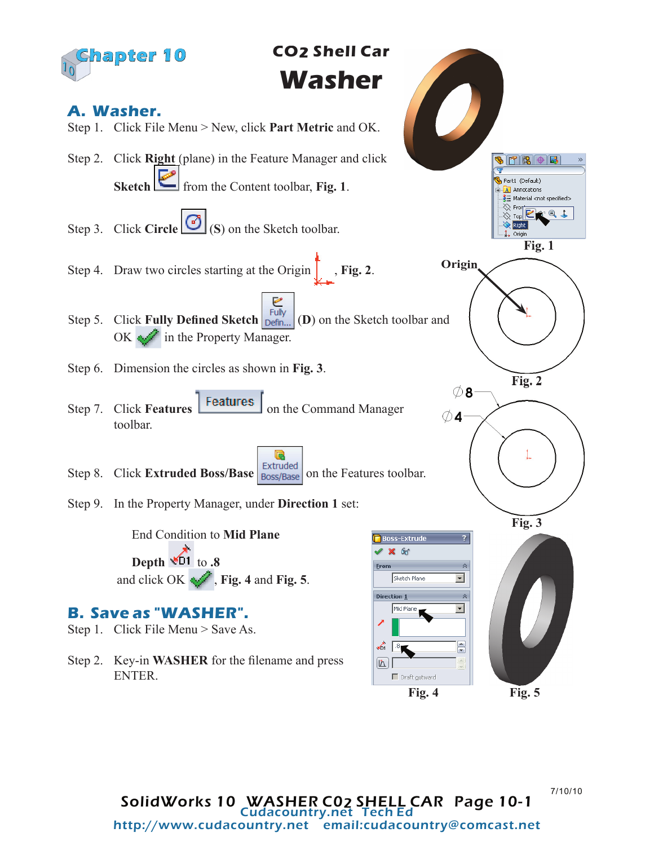

7/10/10